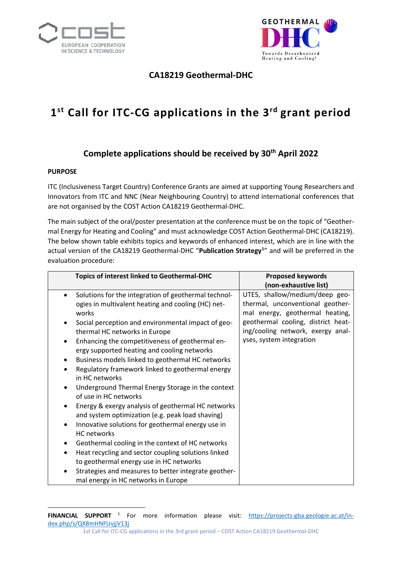



## **CA18219 Geothermal-DHC**

# **1st Call for ITC-CG applications in the 3rd grant period**

## **Complete applications should be received by 30th April 2022**

#### **PURPOSE**

ITC (Inclusiveness Target Country) Conference Grants are aimed at supporting Young Researchers and Innovators from ITC and NNC (Near Neighbouring Country) to attend international conferences that are not organised by the COST Action CA18219 Geothermal-DHC.

The main subject of the oral/poster presentation at the conference must be on the topic of "Geothermal Energy for Heating and Cooling" and must acknowledge COST Action Geothermal-DHC (CA18219). The below shown table exhibits topics and keywords of enhanced interest, which are in line with the actual version of the CA18219 Geothermal-DHC "**Publication Strategy[1](#page-0-0)** " and will be preferred in the evaluation procedure:

<span id="page-0-0"></span> $\overline{a}$ **FINANCIAL SUPPORT** <sup>1</sup> For more information please visit: [https://projects-gba.geologie.ac.at/in](https://projects-gba.geologie.ac.at/index.php/s/QX8mHNFUvjjV13j)[dex.php/s/QX8mHNFUvjjV13j](https://projects-gba.geologie.ac.at/index.php/s/QX8mHNFUvjjV13j)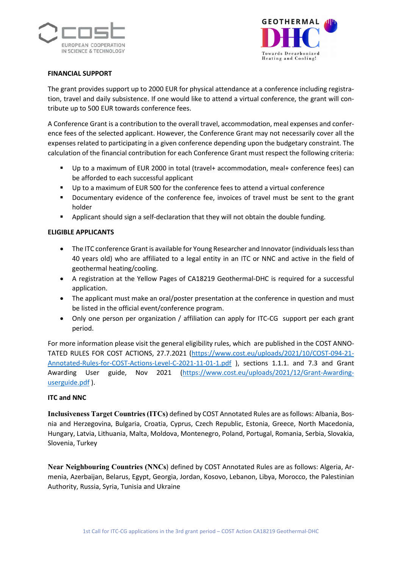



#### **FINANCIAL SUPPORT**

The grant provides support up to 2000 EUR for physical attendance at a conference including registration, travel and daily subsistence. If one would like to attend a virtual conference, the grant will contribute up to 500 EUR towards conference fees.

A Conference Grant is a contribution to the overall travel, accommodation, meal expenses and conference fees of the selected applicant. However, the Conference Grant may not necessarily cover all the expenses related to participating in a given conference depending upon the budgetary constraint. The calculation of the financial contribution for each Conference Grant must respect the following criteria:

- Up to a maximum of EUR 2000 in total (travel+ accommodation, meal+ conference fees) can be afforded to each successful applicant
- Up to a maximum of EUR 500 for the conference fees to attend a virtual conference
- Documentary evidence of the conference fee, invoices of travel must be sent to the grant holder
- Applicant should sign a self-declaration that they will not obtain the double funding.

#### **ELIGIBLE APPLICANTS**

- The ITC conference Grant is available for Young Researcher and Innovator (individuals less than 40 years old) who are affiliated to a legal entity in an ITC or NNC and active in the field of geothermal heating/cooling.
- A registration at the Yellow Pages of CA18219 Geothermal-DHC is required for a successful application.
- The applicant must make an oral/poster presentation at the conference in question and must be listed in the official event/conference program.
- Only one person per organization / affiliation can apply for ITC-CG support per each grant period.

For more information please visit the general eligibility rules, which are published in the COST ANNO-TATED RULES FOR COST ACTIONS, 27.7.2021 [\(https://www.cost.eu/uploads/2021/10/COST-094-21-](https://www.cost.eu/uploads/2021/10/COST-094-21-Annotated-Rules-for-COST-Actions-Level-C-2021-11-01-1.pdf) [Annotated-Rules-for-COST-Actions-Level-C-2021-11-01-1.pdf](https://www.cost.eu/uploads/2021/10/COST-094-21-Annotated-Rules-for-COST-Actions-Level-C-2021-11-01-1.pdf) ), sections 1.1.1. and 7.3 and Grant Awarding User guide, Nov 2021 [\(https://www.cost.eu/uploads/2021/12/Grant-Awarding](https://www.cost.eu/uploads/2021/12/Grant-Awarding-userguide.pdf)[userguide.pdf](https://www.cost.eu/uploads/2021/12/Grant-Awarding-userguide.pdf) ).

#### **ITC and NNC**

**Inclusiveness Target Countries (ITCs)** defined by COST Annotated Rules are as follows: Albania, Bosnia and Herzegovina, Bulgaria, Croatia, Cyprus, Czech Republic, Estonia, Greece, North Macedonia, Hungary, Latvia, Lithuania, Malta, Moldova, Montenegro, Poland, Portugal, Romania, Serbia, Slovakia, Slovenia, Turkey

**Near Neighbouring Countries (NNCs**) defined by COST Annotated Rules are as follows: Algeria, Armenia, Azerbaijan, Belarus, Egypt, Georgia, Jordan, Kosovo, Lebanon, Libya, Morocco, the Palestinian Authority, Russia, Syria, Tunisia and Ukraine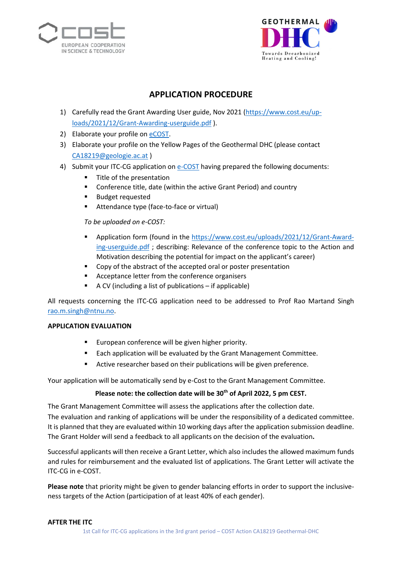



## **APPLICATION PROCEDURE**

- 1) Carefully read the Grant Awarding User guide, Nov 2021 [\(https://www.cost.eu/up](https://www.cost.eu/uploads/2021/12/Grant-Awarding-userguide.pdf)[loads/2021/12/Grant-Awarding-userguide.pdf](https://www.cost.eu/uploads/2021/12/Grant-Awarding-userguide.pdf) ).
- 2) Elaborate your profile on [eCOST.](https://e-services.cost.eu/user/login)
- 3) Elaborate your profile on the Yellow Pages of the Geothermal DHC (please contact [CA18219@geologie.ac.at](mailto:CA18219@geologie.ac.at) )
- 4) Submit your ITC-CG application o[n e-COST](https://e-services.cost.eu/stsm) having prepared the following documents:
	- Title of the presentation
	- **EXTER** Conference title, date (within the active Grant Period) and country
	- **Budget requested**
	- **Attendance type (face-to-face or virtual)**

*To be uploaded on e-COST:*

- **Application form (found in the [https://www.cost.eu/uploads/2021/12/Grant-Award](https://www.cost.eu/uploads/2021/12/Grant-Awarding-userguide.pdf)**[ing-userguide.pdf](https://www.cost.eu/uploads/2021/12/Grant-Awarding-userguide.pdf) ; describing: Relevance of the conference topic to the Action and Motivation describing the potential for impact on the applicant's career)
- Copy of the abstract of the accepted oral or poster presentation
- Acceptance letter from the conference organisers
- A CV (including a list of publications if applicable)

All requests concerning the ITC-CG application need to be addressed to Prof Rao Martand Singh [rao.m.singh@ntnu.no.](mailto:rao.m.singh@ntnu.no)

#### **APPLICATION EVALUATION**

- **European conference will be given higher priority.**
- **Each application will be evaluated by the Grant Management Committee.**
- **EXECT** Active researcher based on their publications will be given preference.

Your application will be automatically send by e-Cost to the Grant Management Committee.

### Please note: the collection date will be 30<sup>th</sup> of April 2022, 5 pm CEST.

The Grant Management Committee will assess the applications after the collection date.

The evaluation and ranking of applications will be under the responsibility of a dedicated committee. It is planned that they are evaluated within 10 working days after the application submission deadline. The Grant Holder will send a feedback to all applicants on the decision of the evaluation**.** 

Successful applicants will then receive a Grant Letter, which also includes the allowed maximum funds and rules for reimbursement and the evaluated list of applications. The Grant Letter will activate the ITC-CG in e-COST.

**Please note** that priority might be given to gender balancing efforts in order to support the inclusiveness targets of the Action (participation of at least 40% of each gender).

#### **AFTER THE ITC**